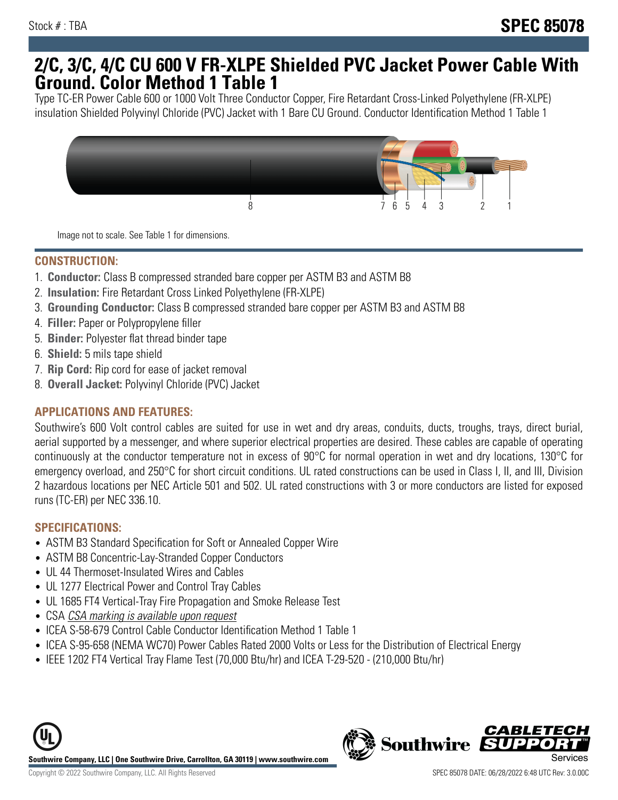## **2/C, 3/C, 4/C CU 600 V FR-XLPE Shielded PVC Jacket Power Cable With Ground. Color Method 1 Table 1**

Type TC-ER Power Cable 600 or 1000 Volt Three Conductor Copper, Fire Retardant Cross-Linked Polyethylene (FR-XLPE) insulation Shielded Polyvinyl Chloride (PVC) Jacket with 1 Bare CU Ground. Conductor Identification Method 1 Table 1



Image not to scale. See Table 1 for dimensions.

#### **CONSTRUCTION:**

- 1. **Conductor:** Class B compressed stranded bare copper per ASTM B3 and ASTM B8
- 2. **Insulation:** Fire Retardant Cross Linked Polyethylene (FR-XLPE)
- 3. **Grounding Conductor:** Class B compressed stranded bare copper per ASTM B3 and ASTM B8
- 4. **Filler:** Paper or Polypropylene filler
- 5. **Binder:** Polyester flat thread binder tape
- 6. **Shield:** 5 mils tape shield
- 7. **Rip Cord:** Rip cord for ease of jacket removal
- 8. **Overall Jacket:** Polyvinyl Chloride (PVC) Jacket

### **APPLICATIONS AND FEATURES:**

Southwire's 600 Volt control cables are suited for use in wet and dry areas, conduits, ducts, troughs, trays, direct burial, aerial supported by a messenger, and where superior electrical properties are desired. These cables are capable of operating continuously at the conductor temperature not in excess of 90°C for normal operation in wet and dry locations, 130°C for emergency overload, and 250°C for short circuit conditions. UL rated constructions can be used in Class I, II, and III, Division 2 hazardous locations per NEC Article 501 and 502. UL rated constructions with 3 or more conductors are listed for exposed runs (TC-ER) per NEC 336.10.

#### **SPECIFICATIONS:**

- ASTM B3 Standard Specification for Soft or Annealed Copper Wire
- ASTM B8 Concentric-Lay-Stranded Copper Conductors
- UL 44 Thermoset-Insulated Wires and Cables
- UL 1277 Electrical Power and Control Tray Cables
- UL 1685 FT4 Vertical-Tray Fire Propagation and Smoke Release Test
- CSA CSA marking is available upon request
- ICEA S-58-679 Control Cable Conductor Identification Method 1 Table 1
- ICEA S-95-658 (NEMA WC70) Power Cables Rated 2000 Volts or Less for the Distribution of Electrical Energy
- IEEE 1202 FT4 Vertical Tray Flame Test (70,000 Btu/hr) and ICEA T-29-520 (210,000 Btu/hr)



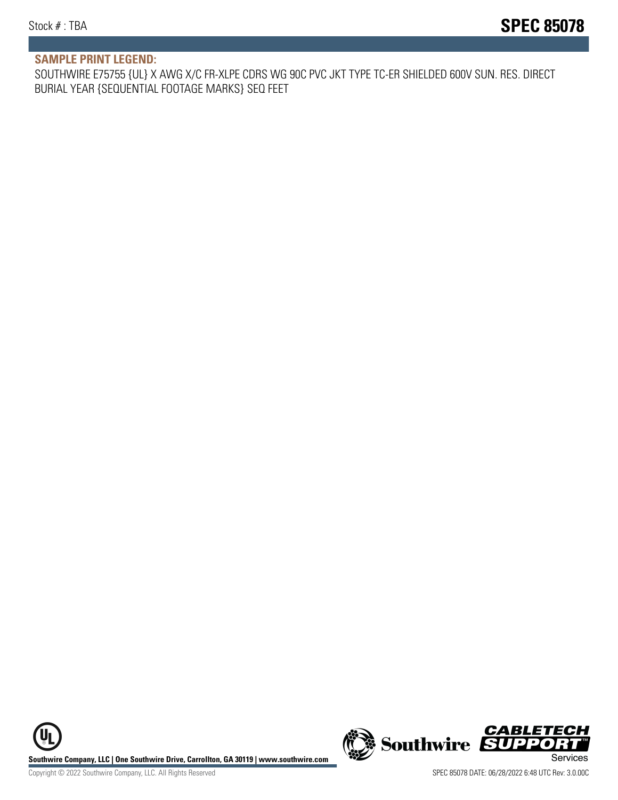#### **SAMPLE PRINT LEGEND:**

SOUTHWIRE E75755 {UL} X AWG X/C FR-XLPE CDRS WG 90C PVC JKT TYPE TC-ER SHIELDED 600V SUN. RES. DIRECT BURIAL YEAR {SEQUENTIAL FOOTAGE MARKS} SEQ FEET

UL **Southwire Company, LLC | One Southwire Drive, Carrollton, GA 30119 | www.southwire.com (New Southwire SUPPORTI**